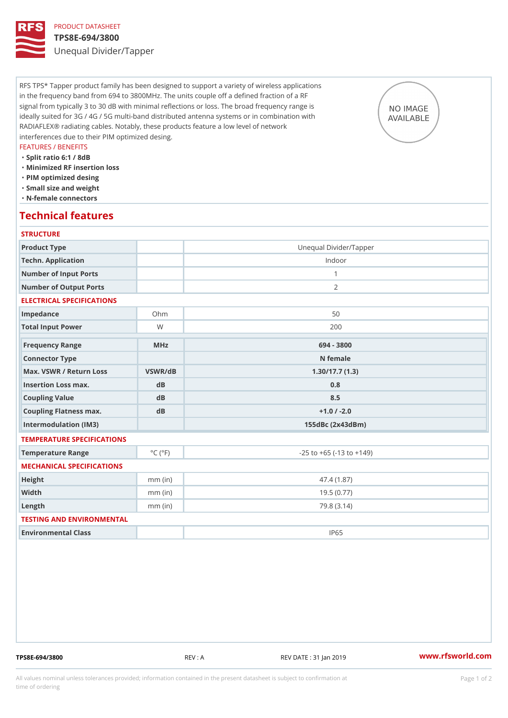### PRODUCT DATASHEET TPS8E-694/3800 Unequal Divider/Tapper

RFS TPS\* Tapper product family has been designed to support a variety of wireless applications in the frequency band from 694 to 3800MHz. The units couple off a defined fraction of a RF signal from typically 3 to 30 dB with minimal reflections or loss. The broad frequency range is ideally suited for 3G / 4G / 5G multi-band distributed antenna systems or in combination with RADIAFLEX® radiating cables. Notably, these products feature a low level of network interferences due to their PIM optimized desing.

### FEATURES / BENEFITS

"Split ratio 6:1 / 8dB

- "Minimized RF insertion loss
- "PIM optimized desing
- "Small size and weight
- "N-female connectors

### Technical features

| <b>STRUCTURE</b>                                 |                                    |  |
|--------------------------------------------------|------------------------------------|--|
|                                                  | Unequal Divider/Tapper             |  |
|                                                  | Indoor                             |  |
|                                                  | $\mathbf{1}$                       |  |
|                                                  | 2                                  |  |
| ELECTRICAL SPECIFICATIONS                        |                                    |  |
| $Oh$ m                                           | 50                                 |  |
| W                                                | 200                                |  |
| $M$ H z                                          | 694 - 3800                         |  |
|                                                  | N female                           |  |
| Max. VSWR / Return LossVSWR/dB<br>1.30/17.7(1.3) |                                    |  |
| $d$ B                                            | 0.8                                |  |
| dB                                               | 8.5                                |  |
| dB                                               | $+1.0 / -2.0$                      |  |
|                                                  | $155dBc$ $(2x43dBm)$               |  |
| TEMPERATURE SPECIFICATIONS                       |                                    |  |
| $^{\circ}$ C ( $^{\circ}$ F                      | $-25$ to $+65$ ( $-13$ to $+149$ ) |  |
| MECHANICAL SPECIFICATIONS                        |                                    |  |
| $mm$ (in)                                        | 47.4 (1.87)                        |  |
| $mm$ (in)                                        | 19.5(0.77)                         |  |
| $mm$ (in)                                        | 79.8(3.14)                         |  |
| TESTING AND ENVIRONMENTAL                        |                                    |  |
|                                                  | <b>IP65</b>                        |  |
| Coupling Flatness max.                           | Number of Output Ports             |  |

TPS8E-694/3800 REV : A REV DATE : 31 Jan 2019 [www.](https://www.rfsworld.com)rfsworld.com

All values nominal unless tolerances provided; information contained in the present datasheet is subject to Pcapgeign manation time of ordering